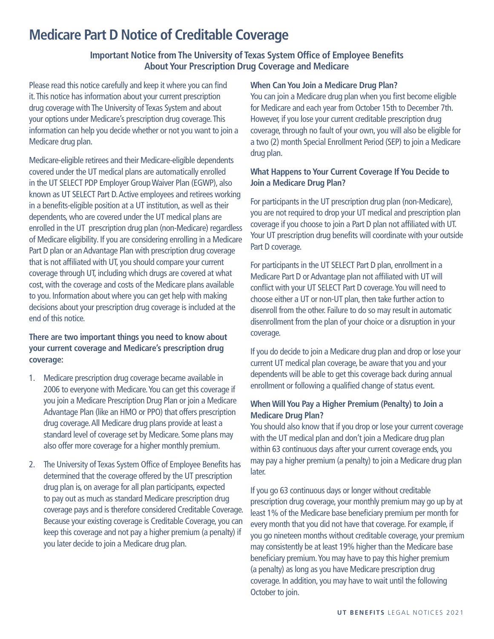# **Medicare Part D Notice of Creditable Coverage**

## **Important Notice from The University of Texas System Office of Employee Benefits About Your Prescription Drug Coverage and Medicare**

Please read this notice carefully and keep it where you can find it. This notice has information about your current prescription drug coverage with The University of Texas System and about your options under Medicare's prescription drug coverage. This information can help you decide whether or not you want to join a Medicare drug plan.

Medicare-eligible retirees and their Medicare-eligible dependents covered under the UT medical plans are automatically enrolled in the UT SELECT PDP Employer Group Waiver Plan (EGWP), also known as UT SELECT Part D. Active employees and retirees working in a benefits-eligible position at a UT institution, as well as their dependents, who are covered under the UT medical plans are enrolled in the UT prescription drug plan (non-Medicare) regardless of Medicare eligibility. If you are considering enrolling in a Medicare Part D plan or an Advantage Plan with prescription drug coverage that is not affiliated with UT, you should compare your current coverage through UT, including which drugs are covered at what cost, with the coverage and costs of the Medicare plans available to you. Information about where you can get help with making decisions about your prescription drug coverage is included at the end of this notice.

## **There are two important things you need to know about your current coverage and Medicare's prescription drug coverage:**

- 1. Medicare prescription drug coverage became available in 2006 to everyone with Medicare. You can get this coverage if you join a Medicare Prescription Drug Plan or join a Medicare Advantage Plan (like an HMO or PPO) that offers prescription drug coverage. All Medicare drug plans provide at least a standard level of coverage set by Medicare. Some plans may also offer more coverage for a higher monthly premium.
- 2. The University of Texas System Office of Employee Benefits has determined that the coverage offered by the UT prescription drug plan is, on average for all plan participants, expected to pay out as much as standard Medicare prescription drug coverage pays and is therefore considered Creditable Coverage. Because your existing coverage is Creditable Coverage, you can keep this coverage and not pay a higher premium (a penalty) if you later decide to join a Medicare drug plan.

#### **When Can You Join a Medicare Drug Plan?**

You can join a Medicare drug plan when you first become eligible for Medicare and each year from October 15th to December 7th. However, if you lose your current creditable prescription drug coverage, through no fault of your own, you will also be eligible for a two (2) month Special Enrollment Period (SEP) to join a Medicare drug plan.

#### **What Happens to Your Current Coverage If You Decide to Join a Medicare Drug Plan?**

For participants in the UT prescription drug plan (non-Medicare), you are not required to drop your UT medical and prescription plan coverage if you choose to join a Part D plan not affiliated with UT. Your UT prescription drug benefits will coordinate with your outside Part D coverage.

For participants in the UT SELECT Part D plan, enrollment in a Medicare Part D or Advantage plan not affiliated with UT will conflict with your UT SELECT Part D coverage. You will need to choose either a UT or non-UT plan, then take further action to disenroll from the other. Failure to do so may result in automatic disenrollment from the plan of your choice or a disruption in your coverage.

If you do decide to join a Medicare drug plan and drop or lose your current UT medical plan coverage, be aware that you and your dependents will be able to get this coverage back during annual enrollment or following a qualified change of status event.

## **When Will You Pay a Higher Premium (Penalty) to Join a Medicare Drug Plan?**

You should also know that if you drop or lose your current coverage with the UT medical plan and don't join a Medicare drug plan within 63 continuous days after your current coverage ends, you may pay a higher premium (a penalty) to join a Medicare drug plan later.

If you go 63 continuous days or longer without creditable prescription drug coverage, your monthly premium may go up by at least 1% of the Medicare base beneficiary premium per month for every month that you did not have that coverage. For example, if you go nineteen months without creditable coverage, your premium may consistently be at least 19% higher than the Medicare base beneficiary premium. You may have to pay this higher premium (a penalty) as long as you have Medicare prescription drug coverage. In addition, you may have to wait until the following October to join.